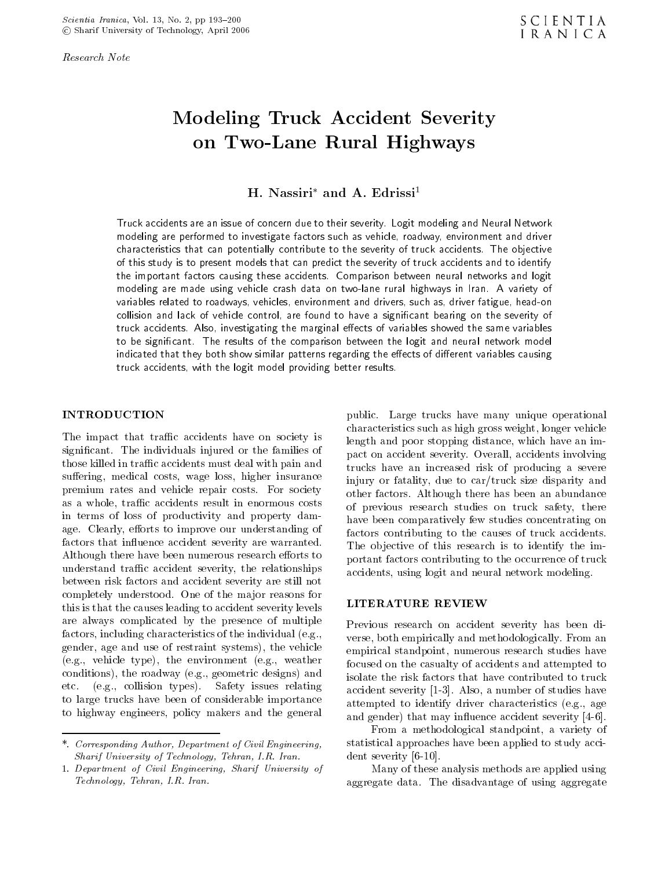Research Note

# Modeling Truck Accident Severity on Two-Lane Rural Highways

H. Nassiri\* and A. Edrissi<sup>1</sup>

Truck accidents are an issue of concern due to their severity. Logit modeling and Neural Network modeling are performed to investigate factors such as vehicle, roadway, environment and driver characteristics that can potentially contribute to the severity of truck accidents. The objective of this study is to present models that can predict the severity of truck accidents and to identify the important factors causing these accidents. Comparison between neural networks and logit modeling are made using vehicle crash data on two-lane rural highways in Iran. <sup>A</sup> variety of variables related to roadways, vehicles, environment and drivers, such as, driver fatigue, head-on collision and lack of vehicle control, are found to have a signicant bearing on the severity of truck accidents. Also, investigating the marginal effects of variables showed the same variables to be signicant. The results of the comparison between the logit and neural network model indicated that they both show similar patterns regarding the effects of different variables causing truck accidents, with the logit model providing better results.

#### INTRODUCTION

The impact that traffic accidents have on society is signicant. The individuals injured or the families of those killed in traffic accidents must deal with pain and suffering, medical costs, wage loss, higher insurance premium rates and vehicle repair costs. For society as a whole, traffic accidents result in enormous costs in terms of loss of productivity and property damage. Clearly, efforts to improve our understanding of factors that influence accident severity are warranted. Although there have been numerous research efforts to understand traffic accident severity, the relationships between risk factors and accident severity are still not completely understood. One of the major reasons for<br>this is that the senses localizate assident equality levels. LITERATURE REVIEW this is that the causes leading to accident severity levels are always complicated by the presence of multiple factors, including characteristics of the individual (e.g., gender, age and use of restraint systems), the vehicle (e.g., vehicle type), the environment (e.g., weather conditions), the roadway (e.g., geometric designs) and etc. (e.g., collision types). Safety issues relating to large trucks have been of considerable importance to highway engineers, policy makers and the general

public. Large trucks have many unique operational characteristics such as high gross weight, longer vehicle length and poor stopping distance, which have an impact on accident severity. Overall, accidents involving trucks have an increased risk of producing <sup>a</sup> severe injury or fatality, due to car/truck size disparity and other factors. Although there has been an abundance of previous research studies on truck safety, there have been comparatively few studies concentrating on factors contributing to the causes of truck accidents. The objective of this research is to identify the important factors contributing to the occurrence of truck accidents, using logit and neural network modeling.

Previous research on accident severity has been diverse, both empirically and methodologically. From an empirical standpoint, numerous research studies have focused on the casualty of accidents and attempted to isolate the risk factors that have contributed to truck accident severity [1-3]. Also, a number of studies have attempted to identify driver characteristics (e.g., age and gender) that may influence accident severity [4-6].

From <sup>a</sup> methodological standpoint, <sup>a</sup> variety of statistical approaches have been applied to study accident severity [6-10].

Many of these analysis methods are applied using aggregate data. The disadvantage of using aggregate

<sup>\*.</sup> Corresponding Author, Department of Civil Engineering, Sharif University of Technology, Tehran, I.R. Iran.

<sup>1.</sup> Department of Civil Engineering, Sharif University of Technology, Tehran, I.R. Iran.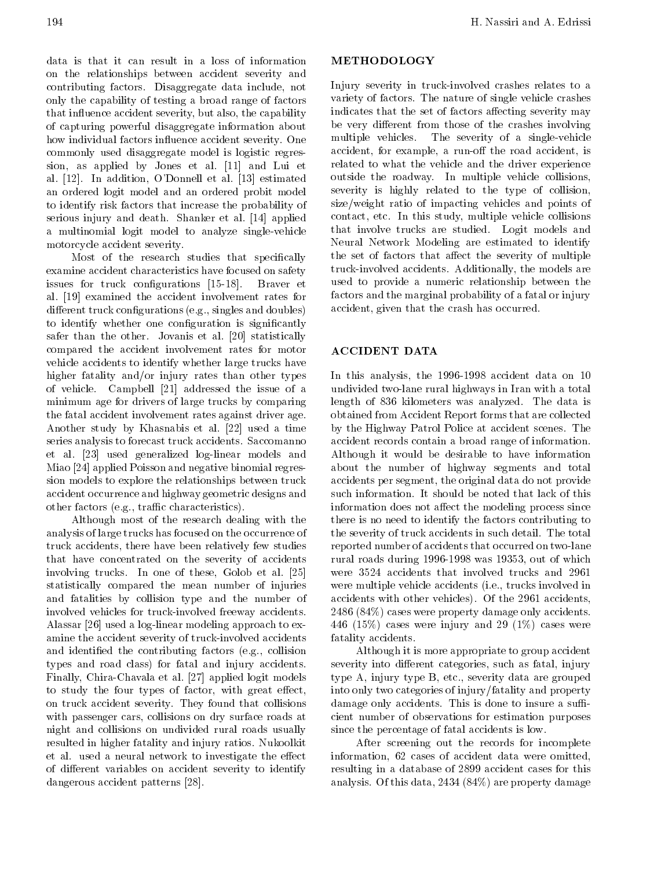data is that it can result in <sup>a</sup> loss of information on the relationships between accident severity and contributing factors. Disaggregate data include, not only the capability of testing a broad range of factors that influence accident severity, but also, the capability of capturing powerful disaggregate information about how individual factors influence accident severity. One commonly used disaggregate model is logistic regression, as applied by Jones et al. [11] and Lui et al. [12]. In addition, <sup>O</sup>'Donnell et al. [13] estimated an ordered logit model and an ordered probit model to identify risk factors that increase the probability of serious injury and death. Shanker et al. [14] applied <sup>a</sup> multinomial logit model to analyze single-vehicle motorcycle accident severity.

Most of the research studies that specifically examine accident characteristics have focused on safety issues for truck configurations [15-18]. Braver et al. [19] examined the accident involvement rates for  $differential$  truck configurations (e.g., singles and doubles) to identify whether one configuration is significantly safer than the other. Jovanis et al. [20] statistically compared the accident involvement rates for motor vehicle accidents to identify whether large trucks have higher fatality and/or injury rates than other types of vehicle. Campbell [21] addressed the issue of <sup>a</sup> minimum age for drivers of large trucks by comparing the fatal accident involvement rates against driver age. Another study by Khasnabis et al. [22] used <sup>a</sup> time series analysis to forecast truck accidents. Saccomanno et al. [23] used generalized log-linear models and Miao [24] applied Poisson and negative binomial regression models to explore the relationships between truck accident occurrence and highway geometric designs and other factors (e.g., traffic characteristics).

Although most of the research dealing with the analysis of large trucks has focused on the occurrence of truck accidents, there have been relatively few studies that have concentrated on the severity of accidents involving trucks. In one of these, Golob et al. [25] statistically compared the mean number of injuries and fatalities by collision type and the number of involved vehicles for truck-involved freeway accidents. Alassar [26] used a log-linear modeling approach to examine the accident severity of truck-involved accidents and identied the contributing factors (e.g., collision types and road class) for fatal and injury accidents. Finally, Chira-Chavala et al. [27] applied logit models to study the four types of factor, with great effect, on truck accident severity. They found that collisions with passenger cars, collisions on dry surface roads at night and collisions on undivided rural roads usually resulted in higher fatality and injury ratios. Nukoolkit et al. used a neural network to investigate the effect of different variables on accident severity to identify dangerous accident patterns [28].

#### METHODOLOGY

Injury severity in truck-involved crashes relates to <sup>a</sup> variety of factors. The nature of single vehicle crashes indicates that the set of factors affecting severity may be very different from those of the crashes involving multiple vehicles. The severity of <sup>a</sup> single-vehicle accident, for example, a run-off the road accident, is related to what the vehicle and the driver experience outside the roadway. In multiple vehicle collisions, severity is highly related to the type of collision, size/weight ratio of impacting vehicles and points of contact, etc. In this study, multiple vehicle collisions that involve trucks are studied. Logit models and Neural Network Modeling are estimated to identify the set of factors that affect the severity of multiple truck-involved accidents. Additionally, the models are used to provide <sup>a</sup> numeric relationship between the factors and the marginal probability of a fatal or injury accident, given that the crash has occurred.

# ACCIDENT DATA

In this analysis, the 1996-1998 accident data on <sup>10</sup> undivided two-lane rural highways in Iran with a total length of <sup>836</sup> kilometers was analyzed. The data is obtained from Accident Report forms that are collected by the Highway Patrol Police at accident scenes. The accident records contain a broad range of information. Although itwould be desirable to have information about the number of highway segments and total accidents per segment, the original data do not provide such information. It should be noted that lack of this information does not affect the modeling process since there is no need to identify the factors contributing to the severity of truck accidents in such detail. The total reported number of accidents that occurred on two-lane rural roads during 1996-1998 was 19353, out of which were <sup>3524</sup> accidents that involved trucks and <sup>2961</sup> were multiple vehicle accidents (i.e., trucks involved in accidents with other vehicles). Of the 2961 accidents, <sup>2486</sup> (84%) cases were property damage only accidents. 446 (15%) cases were injury and 29 (1%) cases were fatality accidents.

Although it is more appropriate to group accident severity into different categories, such as fatal, injury type A, injury type B, etc., severity data are grouped into only two categories of injury/fatality and property damage only accidents. This is done to insure a sufficient number of observations for estimation purposes since the percentage of fatal accidents is low.

After screening out the records for incomplete information, <sup>62</sup> cases of accident data were omitted, resulting in a database of 2899 accident cases for this analysis. Of this data, 2434 (84%) are property damage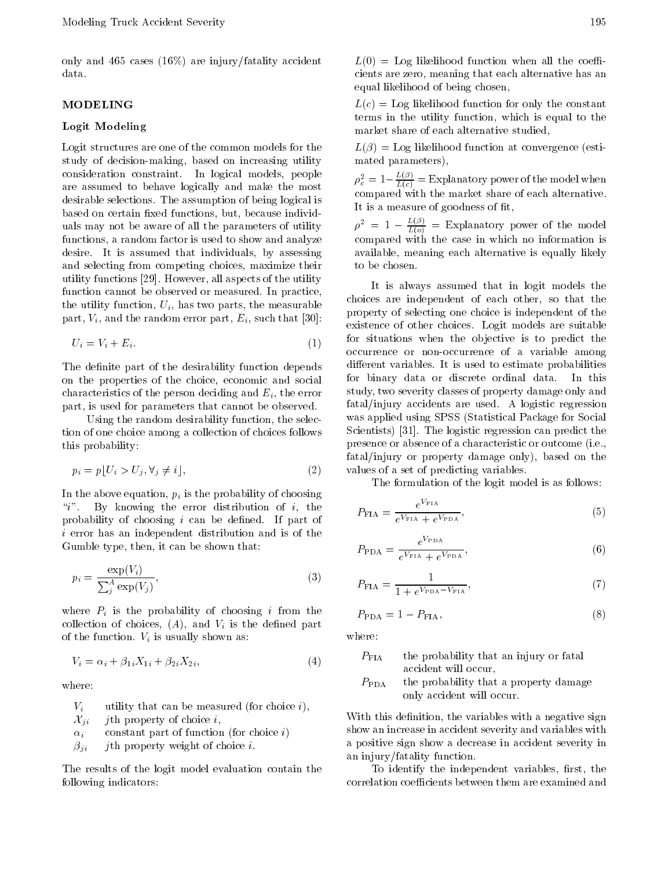only and 465 cases (16%) are injury/fatality accident data.

## **MODELING**

#### Logit Modeling

Logit structures are one of the common models for the study of decision-making, based on increasing utility consideration constraint. In logical models, people are assumed to behave logically and make the most desirable selections. The assumption of being logical is based on certain fixed functions, but, because individuals may not be aware of all the parameters of utility  $\rho^2 = 1$ functions, a random factor is used to show and analyze desire. It is assumed that individuals, by assessing and selecting from competing choices, maximize their utility functions [29]. However, all aspects of the utility function cannot be observed or measured. In practice, the utility function,  $U_i$ , has two parts, the measurable part,  $V_i$ , and the random error part,  $E_i$ , such that [30]:

$$
U_i = V_i + E_i. \tag{1}
$$

The definite part of the desirability function depends on the properties of the choice, economic and social characteristics of the person deciding and  $E_i$ , the error part, is used for parameters that cannot be observed.

Using the random desirability function, the selection of one choice among a collection of choices follows this probability:

$$
p_i = p \lfloor U_i > U_j, \forall_j \neq i \rfloor,\tag{2}
$$

In the above equation,  $p_i$  is the probability of choosing "i". By knowing the error distribution of i, the probability of choosing  $i$  can be defined. If part of  $i$  error has an independent distribution and is of the Gumble type, then, it can be shown that:

$$
p_i = \frac{\exp(V_i)}{\sum_j^A \exp(V_j)},\tag{3}
$$

where  $P_i$  is the probability of choosing i from the collection of choices,  $(A)$ , and  $V_i$  is the defined part of the function.  $V_i$  is usually shown as:

$$
V_i = \alpha_i + \beta_{1i} X_{1i} + \beta_{2i} X_{2i},\tag{4}
$$

where:

- $V_i$  utility that can be measured (for choice i),
- $\mathcal{X}_{ii}$  *j*th property of choice *i*,
- $\alpha_i$  constant part of function (for choice i)
- $\beta_{ji}$  jth property weight of choice i.

The results of the logit model evaluation contain the following indicators:

 $L(0) =$  Log likelihood function when all the coefficients are zero, meaning that each alternative has an equal likelihood of being chosen,

 $L(c) =$  Log likelihood function for only the constant terms in the utility function, which is equal to the market share of each alternative studied,

 $L(\beta) =$  Log likelihood function at convergence (estimated parameters),

 $\rho_c^* = 1$   $\frac{1}{L(c)} =$  Explanatory power of the model when compared with the market share of each alternative. It is a measure of goodness of fit,

 $\rho^2 = 1$   $\frac{1}{L(\rho)} = E$ xplanatory power of the model compared with the case in which no information is available, meaning each alternative is equally likely to be chosen.

It is always assumed that in logit models the choices are independent of each other, so that the property of selecting one choice is independent of the existence of other choices. Logit models are suitable for situations when the objective is to predict the occurrence or non-occurrence of <sup>a</sup> variable among different variables. It is used to estimate probabilities for binary data or discrete ordinal data. In this study, two severity classes of property damage only and fatal/injury accidents are used. <sup>A</sup> logistic regression was applied using SPSS (Statistical Package for Social Scientists) [31]. The logistic regression can predict the presence or absence of a characteristic or outcome (i.e., fatal/injury or property damage only), based on the values of a set of predicting variables.

The formulation of the logit model is as follows:

$$
P_{\text{FIA}} = \frac{e^{V_{\text{FIA}}}}{e^{V_{\text{FIA}}} + e^{V_{\text{PDA}}}},\tag{5}
$$

$$
P_{\rm PDA} = \frac{e^{V_{\rm PDA}}}{e^{V_{\rm FIA}} + e^{V_{\rm PDA}}},\tag{6}
$$

$$
P_{\text{FIA}} = \frac{1}{1 + e^{V_{\text{PDA}}} - V_{\text{FIA}}},\tag{7}
$$

$$
P_{\rm PDA} = 1 \quad P_{\rm FIA},\tag{8}
$$

where:

- $P_{\text{FIA}}$  the probability that an injury or fatal accident will occur,
- $P_{\text{PDA}}$  the probability that a property damage only accident will occur.

With this definition, the variables with a negative sign show an increase in accident severity and variables with <sup>a</sup> positive sign show a decrease in accident severity in an injury/fatality function.

To identify the independent variables, first, the correlation coefficients between them are examined and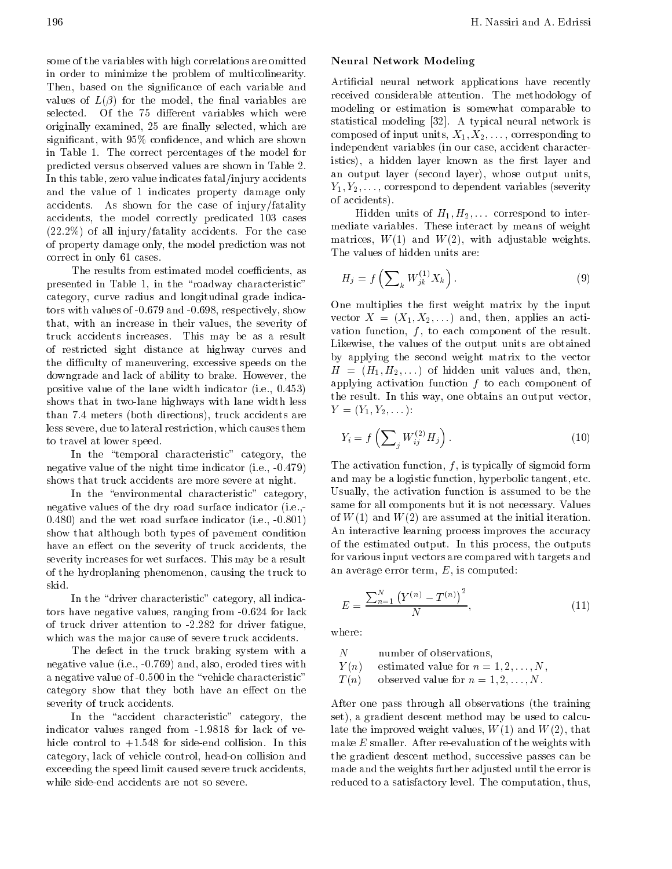some of the variables with high correlations are omitted in order to minimize the problem of multicolinearity. Then, based on the signicance of each variable and values of  $L(\beta)$  for the model, the final variables are selected. Of the 75 different variables which were originally examined, 25 are finally selected, which are significant, with  $95\%$  confidence, and which are shown in Table 1. The correct percentages of the model for predicted versus observed values are shown in Table 2. In this table, zero value indicates fatal/injury accidents and the value of <sup>1</sup> indicates property damage only accidents. As shown for the case of injury/fatality accidents, the model correctly predicated <sup>103</sup> cases (22.2%) of all injury/fatality accidents. For the case of property damage only, the model prediction was not correct in only 61 cases.

The results from estimated model coefficients, as presented in Table 1, in the "roadway characteristic" category, curve radius and longitudinal grade indicators with values of -0.679 and -0.698, respectively, show that, with an increase in their values, the severity of truck accidents increases. This may be as <sup>a</sup> result of restricted sight distance at highway curves and the difficulty of maneuvering, excessive speeds on the downgrade and lack of ability to brake. However, the positive value of the lane width indicator (i.e., 0.453) shows that in two-lane highways with lane width less than 7.4 meters (both directions), truck accidents are less severe, due to lateral restriction, which causes them to travel at lower speed.

In the "temporal characteristic" category, the negative value of the night time indicator (i.e., -0.479) shows that truck accidents are more severe at night.

In the "environmental characteristic" category, negative values of the dry road surface indicator (i.e.,-0.480) and the wet road surface indicator (i.e., -0.801) show that although both types of pavement condition have an effect on the severity of truck accidents, the severity increases for wet surfaces. This may be a result of the hydroplaning phenomenon, causing the truck to skid.

In the "driver characteristic" category, all indicators have negative values, ranging from -0.624 for lack of truck driver attention to -2.282 for driver fatigue, which was the major cause of severe truck accidents.

The defect in the truck braking system with a  $N$ negative value (i.e., -0.769) and, also, eroded tires with  $Y(n)$ a negative value of -0.500 in the "vehicle characteristic"  $T(n)$ category show that they both have an effect on the severity of truck accidents.

In the "accident characteristic" category, the indicator values ranged from -1.9818 for lack of vehicle control to  $+1.548$  for side-end collision. In this category, lack of vehicle control, head-on collision and exceeding the speed limit caused severe truck accidents, while side-end accidents are not so severe.

## Neural Network Modeling

Articial neural network applications have recently received considerable attention. The methodology of modeling or estimation is somewhat comparable to statistical modeling [32]. <sup>A</sup> typical neural network is composed of input units,  $X_1, X_2, \ldots$ , corresponding to independent variables (in our case, accident characteristics), a hidden layer known as the first layer and an output layer (second layer), whose output units,  $Y_1, Y_2, \ldots$ , correspond to dependent variables (severity of accidents).

Hidden units of  $H_1, H_2, \ldots$  correspond to intermediate variables. These interact by means of weight matrices,  $W(1)$  and  $W(2)$ , with adjustable weights. The values of hidden units are:

$$
H_j = f\left(\sum_k W_{jk}^{(1)} X_k\right). \tag{9}
$$

One multiplies the first weight matrix by the input vector  $X = (X_1, X_2, \ldots)$  and, then, applies an activation function,  $f$ , to each component of the result. Likewise, the values of the output units are obtained by applying the second weight matrix to the vector  $H = (H_1, H_2, \dots)$  of hidden unit values and, then, applying activation function  $f$  to each component of the result. In this way, one obtains an output vector,  $Y = (Y_1, Y_2, \ldots)$ :

$$
Y_i = f\left(\sum_j W_{ij}^{(2)} H_j\right). \tag{10}
$$

The activation function,  $f$ , is typically of sigmoid form and may be a logistic function, hyperbolic tangent, etc. Usually, the activation function is assumed to be the same for all components but it is not necessary. Values of  $W(1)$  and  $W(2)$  are assumed at the initial iteration. An interactive learning process improves the accuracy of the estimated output. In this process, the outputs for various input vectors are compared with targets and an average error term,  $E$ , is computed:

$$
E = \frac{\sum_{n=1}^{N} Y^{(n)} - T^{(n)}\right)^2}{N},\tag{11}
$$

where:

number of observations,

estimated value for  $n = 1, 2, \ldots, N$ ,

observed value for  $n = 1, 2, \ldots, N$ .

After one pass through all observations (the training set), a gradient descent method may be used to calculate the improved weight values,  $W(1)$  and  $W(2)$ , that make  $E$  smaller. After re-evaluation of the weights with the gradient descent method, successive passes can be made and the weights further adjusted until the error is reduced to a satisfactory level. The computation, thus,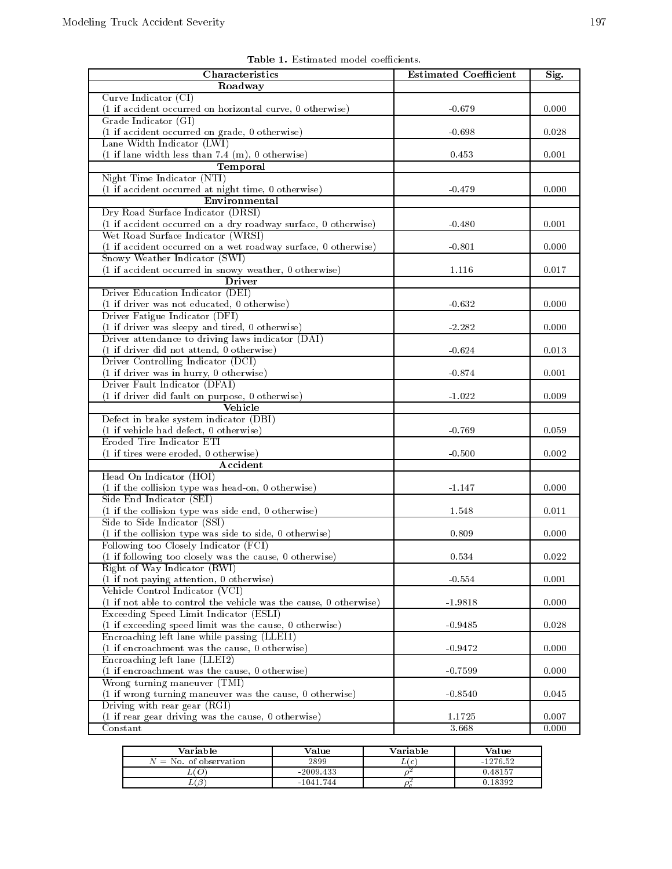| Characteristics                                                   | <b>Estimated Coefficient</b> | Sig.        |
|-------------------------------------------------------------------|------------------------------|-------------|
| Roadway                                                           |                              |             |
| Curve Indicator $(CI)$                                            |                              |             |
| (1 if accident occurred on horizontal curve, 0 otherwise)         | $-0.679$                     | 0.000       |
| Grade Indicator (GI)                                              |                              |             |
| (1 if accident occurred on grade, 0 otherwise)                    | $-0.698$                     | 0.028       |
| Lane Width Indicator (LWI)                                        |                              |             |
| $(1$ if lane width less than 7.4 (m), 0 otherwise)                | 0.453                        | 0.001       |
| Temporal                                                          |                              |             |
| Night Time Indicator (NTI)                                        |                              |             |
| (1 if accident occurred at night time, 0 otherwise)               | $-0.479$                     | 0.000       |
| Environmental                                                     |                              |             |
| Dry Road Surface Indicator (DRSI)                                 |                              |             |
| (1 if accident occurred on a dry roadway surface, 0 otherwise)    | $-0.480$                     | 0.001       |
| Wet Road Surface Indicator (WRSI)                                 |                              |             |
| (1 if accident occurred on a wet roadway surface, 0 otherwise)    | $-0.801$                     | 0.000       |
| Snowy Weather Indicator (SWI)                                     |                              |             |
| (1 if accident occurred in snowy weather, 0 otherwise)            | 1.116                        | 0.017       |
| <b>Driver</b>                                                     |                              |             |
| Driver Education Indicator (DEI)                                  |                              |             |
| (1 if driver was not educated, 0 otherwise)                       | $-0.632$                     | 0.000       |
| Driver Fatigue Indicator (DFI)                                    |                              |             |
| (1 if driver was sleepy and tired, 0 otherwise)                   | $-2.282$                     | 0.000       |
| Driver attendance to driving laws indicator (DAI)                 |                              |             |
| (1 if driver did not attend, 0 otherwise)                         | $-0.624$                     | 0.013       |
| Driver Controlling Indicator (DCI)                                |                              |             |
| (1 if driver was in hurry, 0 otherwise)                           | $-0.874$                     | 0.001       |
| Driver Fault Indicator (DFAI)                                     |                              |             |
| (1 if driver did fault on purpose, 0 otherwise)                   | $-1.022$                     | 0.009       |
| Vehicle                                                           |                              |             |
| Defect in brake system indicator (DBI)                            |                              |             |
| (1 if vehicle had defect, 0 otherwise)                            | $-0.769$                     | 0.059       |
| Eroded Tire Indicator ETI                                         |                              |             |
| (1 if tires were eroded, 0 otherwise)                             | $-0.500$                     | 0.002       |
| Accident                                                          |                              |             |
| Head On Indicator (HOI)                                           |                              |             |
| (1 if the collision type was head-on, 0 otherwise)                | $-1.147$                     | 0.000       |
| Side End Indicator (SEI)                                          |                              |             |
| (1 if the collision type was side end, 0 otherwise)               | 1.548                        | 0.011       |
| Side to Side Indicator (SSI)                                      |                              |             |
| (1 if the collision type was side to side, 0 otherwise)           | 0.809                        | 0.000       |
| Following too Closely Indicator (FCI)                             |                              |             |
| (1 if following too closely was the cause, 0 otherwise)           | 0.534                        | $\rm 0.022$ |
| Right of Way Indicator (RWI)                                      |                              |             |
|                                                                   | $-0.554$                     | 0.001       |
| (1 if not paying attention, 0 otherwise)                          |                              |             |
| Vehicle Control Indicator (VCI)                                   |                              |             |
| (1 if not able to control the vehicle was the cause, 0 otherwise) | $-1.9818$                    | 0.000       |
| Exceeding Speed Limit Indicator (ESLI)                            |                              |             |
| (1 if exceeding speed limit was the cause, 0 otherwise)           | $-0.9485$                    | 0.028       |
| Encroaching left lane while passing (LLEI1)                       |                              |             |
| (1 if encroachment was the cause, 0 otherwise)                    | $-0.9472$                    | 0.000       |
| Encroaching left lane (LLEI2)                                     |                              |             |
| (1 if encroachment was the cause, 0 otherwise)                    | $-0.7599$                    | 0.000       |
| Wrong turning maneuver (TMI)                                      |                              |             |
| (1 if wrong turning maneuver was the cause, 0 otherwise)          | $-0.8540$                    | 0.045       |
| Driving with rear gear (RGI)                                      |                              |             |
| (1 if rear gear driving was the cause, 0 otherwise)               | 1.1725                       | 0.007       |
| Constant                                                          | 3.668                        | 0.000       |

Table 1. Estimated model coefficients.

| Variable                 | Value       | Variable | Value      |
|--------------------------|-------------|----------|------------|
| $N =$ No. of observation | 2899        | L(c      | $-1276.52$ |
|                          | $-2009.433$ |          | 0.48157    |
|                          | $-1041$ 744 |          | 8307       |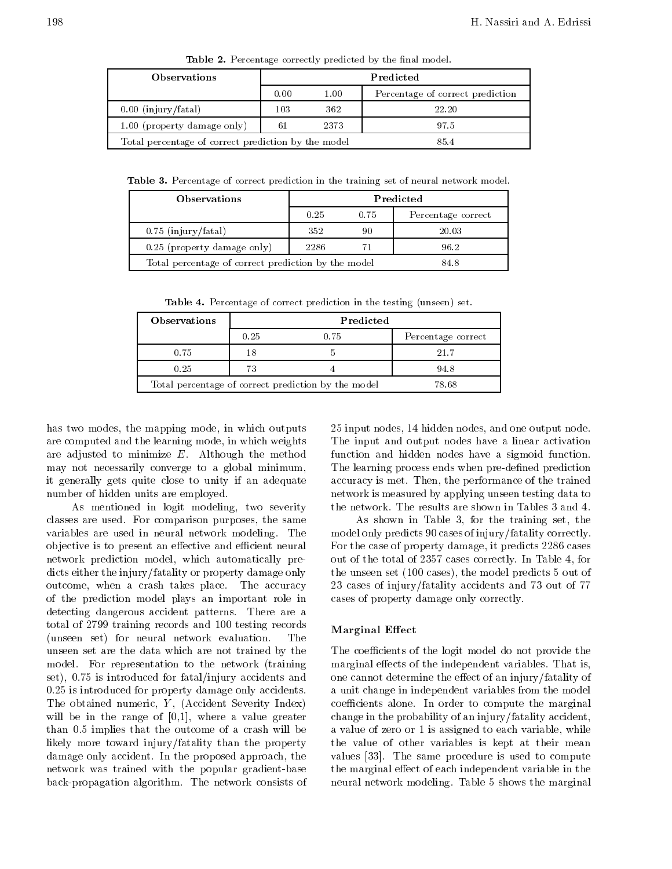| <b>Observations</b>                                 | Predicted |      |                                  |
|-----------------------------------------------------|-----------|------|----------------------------------|
|                                                     | 0.00      | 1.00 | Percentage of correct prediction |
| $0.00$ (injury/fatal)                               | 103       | 362  | 22.20                            |
| 1.00 (property damage only)                         | 61        | 2373 | 97.5                             |
| Total percentage of correct prediction by the model |           |      | 854                              |

Table 2. Percentage correctly predicted by the final model.

Table 3. Percentage of correct prediction in the training set of neural network model.

| <b>Observations</b>                                 | Predicted |      |                    |
|-----------------------------------------------------|-----------|------|--------------------|
|                                                     | 0.25      | 0.75 | Percentage correct |
| $0.75$ (injury/fatal)                               | 352       | 90   | 20.03              |
| 0.25 (property damage only)                         | 2286      |      | 96.2               |
| Total percentage of correct prediction by the model |           |      | 84.8               |

Table 4. Percentage of correct prediction in the testing (unseen) set.

| <b>Observations</b> | Predicted |                                                     |                    |
|---------------------|-----------|-----------------------------------------------------|--------------------|
|                     | 0.25      | 0.75                                                | Percentage correct |
| 0.75                | 18        |                                                     | 21.7               |
| 0.25                | 73        |                                                     | 948                |
|                     |           | Total percentage of correct prediction by the model | 78.68              |

has two modes, the mapping mode, in which outputs are computed and the learning mode, in which weights are adjusted to minimize E. Although the method may not necessarily converge to <sup>a</sup> global minimum, it generally gets quite close to unity if an adequate number of hidden units are employed.

As mentioned in logit modeling, two severity classes are used. For comparison purposes, the same variables are used in neural network modeling. The objective is to present an effective and efficient neural network prediction model, which automatically predicts either the injury/fatality or property damage only outcome, when <sup>a</sup> crash takes place. The accuracy of the prediction model plays an important role in detecting dangerous accident patterns. There are <sup>a</sup> total of 2799 training records and 100 testing records (unseen set) for neural network evaluation. The unseen set are the data which are not trained by the model. For representation to the network (training set), 0.75 is introduced for fatal/injury accidents and 0.25 is introduced for property damage only accidents. The obtained numeric,  $Y$ , (Accident Severity Index) will be in the range of [0,1], where <sup>a</sup> value greater than 0.5 implies that the outcome of a crash will be likely more toward injury/fatality than the property damage only accident. In the proposed approach, the network was trained with the popular gradient-base back-propagation algorithm. The network consists of <sup>25</sup> input nodes, 14 hidden nodes, and one output node. The input and output nodes have <sup>a</sup> linear activation function and hidden nodes have <sup>a</sup> sigmoid function. The learning process ends when pre-defined prediction accuracy is met. Then, the performance of the trained network is measured by applying unseen testing data to the network. The results are shown in Tables 3 and 4.

As shown in Table 3, for the training set, the model only predicts 90 cases of injury/fatality correctly. For the case of property damage, it predicts 2286 cases out of the total of 2357 cases correctly. In Table 4, for the unseen set (100 cases), the model predicts 5 out of <sup>23</sup> cases of injury/fatality accidents and <sup>73</sup> out of <sup>77</sup> cases of property damage only correctly.

#### Marginal Effect

The coefficients of the logit model do not provide the marginal effects of the independent variables. That is, one cannot determine the effect of an injury/fatality of <sup>a</sup> unit change in independent variables from the model coefficients alone. In order to compute the marginal change in the probability of an injury/fatality accident, a value of zero or 1 is assigned to each variable, while the value of other variables is kept at their mean values [33]. The same procedure is used to compute the marginal effect of each independent variable in the neural network modeling. Table 5 shows the marginal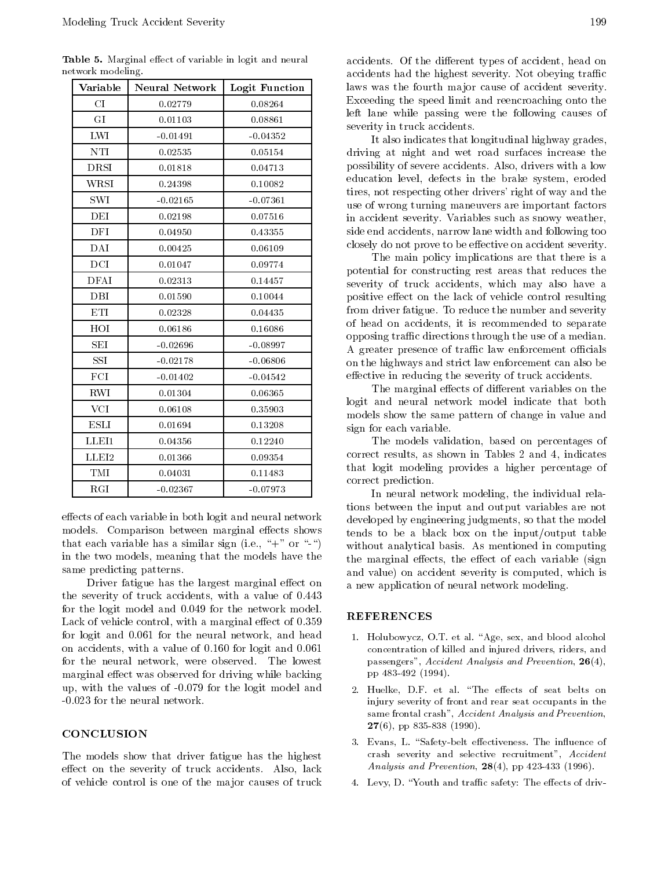Table 5. Marginal effect of variable in logit and neural network modeling.

| Variable                | <b>Neural Network</b> | Logit Function |  |
|-------------------------|-----------------------|----------------|--|
| CI                      | 0.02779               | 0.08264        |  |
| GI                      | 0.01103               | 0.08861        |  |
| ${\rm LWI}$             | $-0.01491$            | $-0.04352$     |  |
| NTI                     | 0.02535               | 0.05154        |  |
| <b>DRSI</b>             | 0.01818               | 0.04713        |  |
| WRSI                    | 0.24398               | 0.10082        |  |
| SWI                     | $-0.02165$            | $-0.07361$     |  |
| DEI                     | 0.02198               | 0.07516        |  |
| DFI                     | 0.04950               | 0.43355        |  |
| DAI                     | 0.00425               | 0.06109        |  |
| $\overline{\text{DCI}}$ | 0.01047               | 0.09774        |  |
| <b>DFAI</b>             | 0.02313               | 0.14457        |  |
| <b>DBI</b>              | 0.01590               | 0.10044        |  |
| ETI                     | 0.02328               | 0.04435        |  |
| $_{\rm HOI}$            | 0.06186               | 0.16086        |  |
| <b>SEI</b>              | $-0.02696$            | $-0.08997$     |  |
| SSI                     | $-0.02178$            | $-0.06806$     |  |
| FCI                     | $-0.01402$            | $-0.04542$     |  |
| RWI                     | 0.01304               | 0.06365        |  |
| <b>VCI</b>              | 0.06108               | 0.35903        |  |
| <b>ESLI</b>             | 0.01694               | 0.13208        |  |
| LLEI1                   | 0.04356               | 0.12240        |  |
| ${\rm LLEI2}$           | 0.01366               | 0.09354        |  |
| TMI                     | 0.04031               | 0.11483        |  |
| RGI                     | $-0.02367$            | $-0.07973$     |  |

effects of each variable in both logit and neural network models. Comparison between marginal effects shows that each variable has a similar sign (i.e., " $+$ " or "-") in the two models, meaning that the models have the same predicting patterns.

Driver fatigue has the largest marginal effect on the severity of truck accidents, with <sup>a</sup> value of 0.443 for the logit model and 0.049 for the network model. Lack of vehicle control, with a marginal effect of  $0.359$ for logit and 0.061 for the neural network, and head on accidents, with a value of 0.160 for logit and 0.061 for the neural network, were observed. The lowest marginal effect was observed for driving while backing up, with the values of -0.079 for the logit model and -0.023 for the neural network.

#### CONCLUSION

The models show that driver fatigue has the highest effect on the severity of truck accidents. Also, lack of vehicle control is one of the ma jor causes of truck

It also indicates that longitudinal highway grades, driving at night and wet road surfaces increase the possibility of severe accidents. Also, drivers with a low education level, defects in the brake system, eroded tires, not respecting other drivers' right of way and the use of wrong turning maneuvers are important factors in accident severity. Variables such as snowy weather, side end accidents, narrow lane width and following too closely do not prove to be effective on accident severity.

The main policy implications are that there is <sup>a</sup> potential for constructing rest areas that reduces the severity of truck accidents, which may also have <sup>a</sup> positive effect on the lack of vehicle control resulting from driver fatigue. To reduce the number and severity of head on accidents, it is recommended to separate opposing traffic directions through the use of a median. A greater presence of traffic law enforcement officials on the highways and strict law enforcement can also be effective in reducing the severity of truck accidents.

The marginal effects of different variables on the logit and neural network model indicate that both models show the same pattern of change in value and sign for each variable.

The models validation, based on percentages of correct results, as shown in Tables <sup>2</sup> and 4, indicates that logit modeling provides <sup>a</sup> higher percentage of correct prediction.

In neural network modeling, the individual relations between the input and output variables are not developed by engineering judgments, so that the model tends to be <sup>a</sup> black box on the input/output table without analytical basis. As mentioned in computing the marginal effects, the effect of each variable (sign and value) on accident severity is computed, which is <sup>a</sup> new application of neural network modeling.

#### REFERENCES

- 1. Holubowycz, O.T. et al. "Age, sex, and blood alcohol concentration of killed and injured drivers, riders, and passengers", Accident Analysis and Prevention, 26(4), pp 483-492 (1994).
- 2. Huelke, D.F. et al. "The effects of seat belts on injury severity of front and rear seat occupants in the same frontal crash", Accident Analysis and Prevention,  $27(6)$ , pp 835-838 (1990).
- 3. Evans, L. "Safety-belt effectiveness. The influence of crash severity and selective recruitment", Accident Analysis and Prevention, 28(4), pp 423-433 (1996).
- 4. Levy, D. "Youth and traffic safety: The effects of driv-